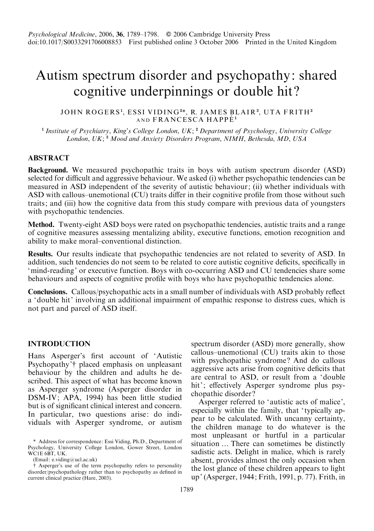# Autism spectrum disorder and psychopathy: shared cognitive underpinnings or double hit ?

#### JOHN ROGERS<sup>1</sup>, ESSI VIDING<sup>2</sup>\*, R. JAMES BLAIR<sup>3</sup>, UTA FRITH<del>'</del> AND FRANCESCA HAPPÉ<sup>1</sup>

<sup>1</sup> Institute of Psychiatry, King's College London, UK;  $2$  Department of Psychology, University College London, UK;<sup>3</sup> Mood and Anxiety Disorders Program, NIMH, Bethesda, MD, USA

#### ABSTRACT

Background. We measured psychopathic traits in boys with autism spectrum disorder (ASD) selected for difficult and aggressive behaviour. We asked (i) whether psychopathic tendencies can be measured in ASD independent of the severity of autistic behaviour; (ii) whether individuals with ASD with callous–unemotional (CU) traits differ in their cognitive profile from those without such traits; and (iii) how the cognitive data from this study compare with previous data of youngsters with psychopathic tendencies.

Method. Twenty-eight ASD boys were rated on psychopathic tendencies, autistic traits and a range of cognitive measures assessing mentalizing ability, executive functions, emotion recognition and ability to make moral–conventional distinction.

Results. Our results indicate that psychopathic tendencies are not related to severity of ASD. In addition, such tendencies do not seem to be related to core autistic cognitive deficits, specifically in 'mind-reading' or executive function. Boys with co-occurring ASD and CU tendencies share some behaviours and aspects of cognitive profile with boys who have psychopathic tendencies alone.

Conclusions. Callous/psychopathic acts in a small number of individuals with ASD probably reflect a 'double hit' involving an additional impairment of empathic response to distress cues, which is not part and parcel of ASD itself.

#### **INTRODUCTION**

Hans Asperger's first account of 'Autistic Psychopathy'† placed emphasis on unpleasant behaviour by the children and adults he described. This aspect of what has become known as Asperger syndrome (Asperger disorder in DSM-IV; APA, 1994) has been little studied but is of significant clinical interest and concern. In particular, two questions arise: do individuals with Asperger syndrome, or autism

(Email: e.viding@ucl.ac.uk)

# Asperger's use of the term psychopathy refers to personality disorder/psychopathology rather than to psychopathy as defined in current clinical practice (Hare, 2003).

spectrum disorder (ASD) more generally, show callous–unemotional (CU) traits akin to those with psychopathic syndrome? And do callous aggressive acts arise from cognitive deficits that are central to ASD, or result from a 'double hit'; effectively Asperger syndrome plus psychopathic disorder ?

Asperger referred to ' autistic acts of malice', especially within the family, that 'typically appear to be calculated. With uncanny certainty, the children manage to do whatever is the most unpleasant or hurtful in a particular situation … There can sometimes be distinctly sadistic acts. Delight in malice, which is rarely absent, provides almost the only occasion when the lost glance of these children appears to light up' (Asperger, 1944; Frith, 1991, p. 77). Frith, in

<sup>\*</sup> Address for correspondence: Essi Viding, Ph.D., Department of Psychology, University College London, Gower Street, London WC1E 6BT, UK.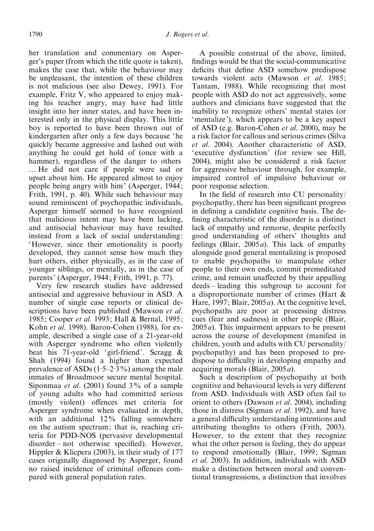her translation and commentary on Asperger's paper (from which the title quote is taken), makes the case that, while the behaviour may be unpleasant, the intention of these children is not malicious (see also Dewey, 1991). For example, Fritz V, who appeared to enjoy making his teacher angry, may have had little insight into her inner states, and have been interested only in the physical display. This little boy is reported to have been thrown out of kindergarten after only a few days because 'he quickly became aggressive and lashed out with anything he could get hold of (once with a hammer), regardless of the danger to others … He did not care if people were sad or upset about him. He appeared almost to enjoy people being angry with him' (Asperger, 1944; Frith, 1991, p. 40). While such behaviour may sound reminiscent of psychopathic individuals, Asperger himself seemed to have recognized that malicious intent may have been lacking, and antisocial behaviour may have resulted instead from a lack of social understanding: 'However, since their emotionality is poorly developed, they cannot sense how much they hurt others, either physically, as in the case of younger siblings, or mentally, as in the case of parents' (Asperger, 1944; Frith, 1991, p. 77).

Very few research studies have addressed antisocial and aggressive behaviour in ASD. A number of single case reports or clinical descriptions have been published (Mawson et al. 1985; Cooper et al. 1993; Hall & Bernal, 1995; Kohn et al. 1998). Baron-Cohen (1988), for example, described a single case of a 21-year-old with Asperger syndrome who often violently beat his 71-year-old 'girl-friend'. Scragg & Shah (1994) found a higher than expected prevalence of ASDs  $(1.5-2.3\%)$  among the male inmates of Broadmoor secure mental hospital. Siponmaa *et al.* (2001) found  $3\%$  of a sample of young adults who had committed serious (mostly violent) offences met criteria for Asperger syndrome when evaluated in depth, with an additional 12% falling somewhere on the autism spectrum; that is, reaching criteria for PDD-NOS (pervasive developmental disorder – not otherwise specified). However, Hippler & Klicpera (2003), in their study of 177 cases originally diagnosed by Asperger, found no raised incidence of criminal offences compared with general population rates.

A possible construal of the above, limited, findings would be that the social-communicative deficits that define ASD somehow predispose towards violent acts (Mawson et al. 1985; Tantam, 1988). While recognizing that most people with ASD do not act aggressively, some authors and clinicians have suggested that the inability to recognize others' mental states (or 'mentalize'), which appears to be a key aspect of ASD (e.g. Baron-Cohen et al. 2000), may be a risk factor for callous and serious crimes (Silva et al. 2004). Another characteristic of ASD, 'executive dysfunction' (for review see Hill, 2004), might also be considered a risk factor for aggressive behaviour through, for example, impaired control of impulsive behaviour or poor response selection.

In the field of research into CU personality/ psychopathy, there has been significant progress in defining a candidate cognitive basis. The defining characteristic of the disorder is a distinct lack of empathy and remorse, despite perfectly good understanding of others' thoughts and feelings (Blair,  $2005a$ ). This lack of empathy alongside good general mentalizing is proposed to enable psychopaths to manipulate other people to their own ends, commit premeditated crime, and remain unaffected by their appalling deeds – leading this subgroup to account for a disproportionate number of crimes (Hart & Hare, 1997; Blair, 2005  $a$ ). At the cognitive level, psychopaths are poor at processing distress cues (fear and sadness) in other people (Blair,  $2005a$ ). This impairment appears to be present across the course of development (manifest in children, youth and adults with CU personality/ psychopathy) and has been proposed to predispose to difficulty in developing empathy and acquiring morals (Blair, 2005a).

Such a description of psychopathy at both cognitive and behavioural levels is very different from ASD. Individuals with ASD often fail to orient to others (Dawson et al. 2004), including those in distress (Sigman et al. 1992), and have a general difficulty understanding intentions and attributing thoughts to others (Frith, 2003). However, to the extent that they recognize what the other person is feeling, they do appear to respond emotionally (Blair, 1999; Sigman et al. 2003). In addition, individuals with ASD make a distinction between moral and conventional transgressions, a distinction that involves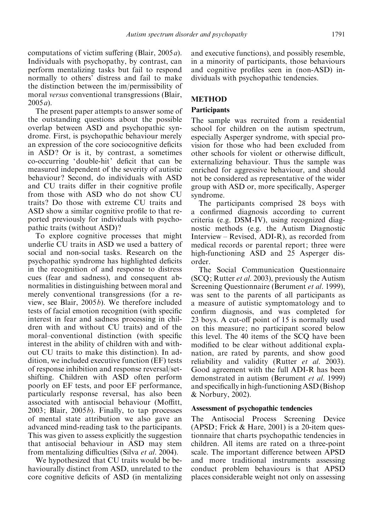computations of victim suffering (Blair,  $2005a$ ). Individuals with psychopathy, by contrast, can perform mentalizing tasks but fail to respond normally to others' distress and fail to make the distinction between the im/permissibility of moral versus conventional transgressions (Blair,  $2005a$ ).

The present paper attempts to answer some of the outstanding questions about the possible overlap between ASD and psychopathic syndrome. First, is psychopathic behaviour merely an expression of the core sociocognitive deficits in ASD? Or is it, by contrast, a sometimes co-occurring 'double-hit' deficit that can be measured independent of the severity of autistic behaviour? Second, do individuals with ASD and CU traits differ in their cognitive profile from those with ASD who do not show CU traits ? Do those with extreme CU traits and ASD show a similar cognitive profile to that reported previously for individuals with psychopathic traits (without ASD) ?

To explore cognitive processes that might underlie CU traits in ASD we used a battery of social and non-social tasks. Research on the psychopathic syndrome has highlighted deficits in the recognition of and response to distress cues (fear and sadness), and consequent abnormalities in distinguishing between moral and merely conventional transgressions (for a review, see Blair, 2005b). We therefore included tests of facial emotion recognition (with specific interest in fear and sadness processing in children with and without CU traits) and of the moral–conventional distinction (with specific interest in the ability of children with and without CU traits to make this distinction). In addition, we included executive function (EF) tests of response inhibition and response reversal/setshifting. Children with ASD often perform poorly on EF tests, and poor EF performance, particularly response reversal, has also been associated with antisocial behaviour (Moffitt, 2003; Blair, 2005b). Finally, to tap processes of mental state attribution we also gave an advanced mind-reading task to the participants. This was given to assess explicitly the suggestion that antisocial behaviour in ASD may stem from mentalizing difficulties (Silva et al. 2004).

We hypothesized that CU traits would be behaviourally distinct from ASD, unrelated to the core cognitive deficits of ASD (in mentalizing and executive functions), and possibly resemble, in a minority of participants, those behaviours and cognitive profiles seen in (non-ASD) individuals with psychopathic tendencies.

# METHOD

# **Participants**

The sample was recruited from a residential school for children on the autism spectrum, especially Asperger syndrome, with special provision for those who had been excluded from other schools for violent or otherwise difficult, externalizing behaviour. Thus the sample was enriched for aggressive behaviour, and should not be considered as representative of the wider group with ASD or, more specifically, Asperger syndrome.

The participants comprised 28 boys with a confirmed diagnosis according to current criteria (e.g. DSM-IV), using recognized diagnostic methods (e.g. the Autism Diagnostic Interview – Revised, ADI-R), as recorded from medical records or parental report; three were high-functioning ASD and 25 Asperger disorder.

The Social Communication Questionnaire (SCQ; Rutter et al. 2003), previously the Autism Screening Questionnaire (Berument et al. 1999), was sent to the parents of all participants as a measure of autistic symptomatology and to confirm diagnosis, and was completed for 23 boys. A cut-off point of 15 is normally used on this measure; no participant scored below this level. The 40 items of the SCQ have been modified to be clear without additional explanation, are rated by parents, and show good reliability and validity (Rutter *et al.* 2003). Good agreement with the full ADI-R has been demonstrated in autism (Berument et al. 1999) and specifically in high-functioning ASD (Bishop & Norbury, 2002).

#### Assessment of psychopathic tendencies

The Antisocial Process Screening Device (APSD; Frick & Hare, 2001) is a 20-item questionnaire that charts psychopathic tendencies in children. All items are rated on a three-point scale. The important difference between APSD and more traditional instruments assessing conduct problem behaviours is that APSD places considerable weight not only on assessing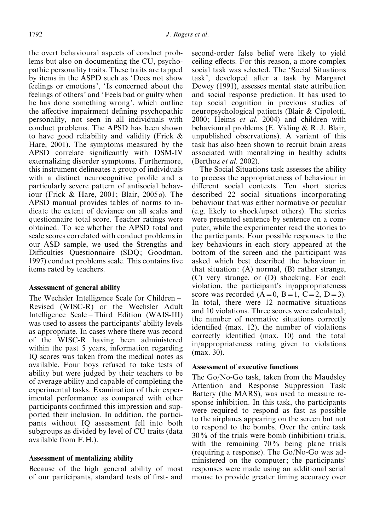the overt behavioural aspects of conduct problems but also on documenting the CU, psychopathic personality traits. These traits are tapped by items in the ASPD such as 'Does not show feelings or emotions', 'Is concerned about the feelings of others' and 'Feels bad or guilty when he has done something wrong', which outline the affective impairment defining psychopathic personality, not seen in all individuals with conduct problems. The APSD has been shown to have good reliability and validity (Frick & Hare, 2001). The symptoms measured by the APSD correlate significantly with DSM-IV externalizing disorder symptoms. Furthermore, this instrument delineates a group of individuals with a distinct neurocognitive profile and a particularly severe pattern of antisocial behaviour (Frick & Hare, 2001; Blair, 2005a). The APSD manual provides tables of norms to indicate the extent of deviance on all scales and questionnaire total score. Teacher ratings were obtained. To see whether the APSD total and scale scores correlated with conduct problems in our ASD sample, we used the Strengths and Difficulties Questionnaire (SDQ; Goodman, 1997) conduct problems scale. This contains five items rated by teachers.

#### Assessment of general ability

The Wechsler Intelligence Scale for Children – Revised (WISC-R) or the Wechsler Adult Intelligence Scale – Third Edition (WAIS-III) was used to assess the participants' ability levels as appropriate. In cases where there was record of the WISC-R having been administered within the past 5 years, information regarding IQ scores was taken from the medical notes as available. Four boys refused to take tests of ability but were judged by their teachers to be of average ability and capable of completing the experimental tasks. Examination of their experimental performance as compared with other participants confirmed this impression and supported their inclusion. In addition, the participants without IQ assessment fell into both subgroups as divided by level of CU traits (data available from F.H.).

#### Assessment of mentalizing ability

Because of the high general ability of most of our participants, standard tests of first- and second-order false belief were likely to yield ceiling effects. For this reason, a more complex social task was selected. The 'Social Situations task', developed after a task by Margaret Dewey (1991), assesses mental state attribution and social response prediction. It has used to tap social cognition in previous studies of neuropsychological patients (Blair & Cipolotti, 2000; Heims et al. 2004) and children with behavioural problems (E. Viding & R. J. Blair, unpublished observations). A variant of this task has also been shown to recruit brain areas associated with mentalizing in healthy adults (Berthoz et al. 2002).

The Social Situations task assesses the ability to process the appropriateness of behaviour in different social contexts. Ten short stories described 22 social situations incorporating behaviour that was either normative or peculiar (e.g. likely to shock/upset others). The stories were presented sentence by sentence on a computer, while the experimenter read the stories to the participants. Four possible responses to the key behaviours in each story appeared at the bottom of the screen and the participant was asked which best described the behaviour in that situation: (A) normal, (B) rather strange, (C) very strange, or (D) shocking. For each violation, the participant's in/appropriateness score was recorded  $(A=0, B=1, C=2, D=3)$ . In total, there were 12 normative situations and 10 violations. Three scores were calculated; the number of normative situations correctly identified (max. 12), the number of violations correctly identified (max. 10) and the total in/appropriateness rating given to violations (max. 30).

## Assessment of executive functions

The Go/No-Go task, taken from the Maudsley Attention and Response Suppression Task Battery (the MARS), was used to measure response inhibition. In this task, the participants were required to respond as fast as possible to the airplanes appearing on the screen but not to respond to the bombs. Over the entire task 30% of the trials were bomb (inhibition) trials, with the remaining 70% being plane trials (requiring a response). The Go/No-Go was administered on the computer; the participants' responses were made using an additional serial mouse to provide greater timing accuracy over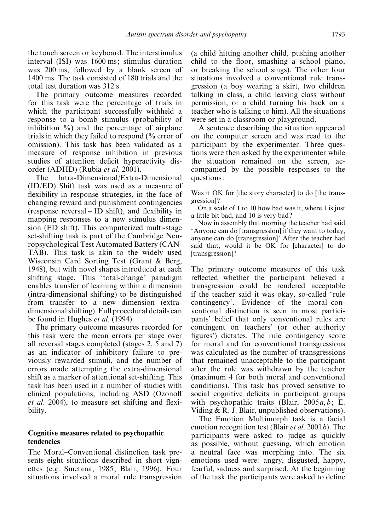the touch screen or keyboard. The interstimulus interval (ISI) was 1600 ms; stimulus duration was 200 ms, followed by a blank screen of 1400 ms. The task consisted of 180 trials and the total test duration was 312 s.

The primary outcome measures recorded for this task were the percentage of trials in which the participant successfully withheld a response to a bomb stimulus (probability of inhibition  $\%$ ) and the percentage of airplane trials in which they failed to respond (% error of omission). This task has been validated as a measure of response inhibition in previous studies of attention deficit hyperactivity disorder (ADHD) (Rubia et al. 2001).

The Intra-Dimensional/Extra-Dimensional (ID/ED) Shift task was used as a measure of flexibility in response strategies, in the face of changing reward and punishment contingencies (response reversal – ID shift), and flexibility in mapping responses to a new stimulus dimension (ED shift). This computerized multi-stage set-shifting task is part of the Cambridge Neuropsychological Test Automated Battery (CAN-TAB). This task is akin to the widely used Wisconsin Card Sorting Test (Grant & Berg, 1948), but with novel shapes introduced at each shifting stage. This ' total-change' paradigm enables transfer of learning within a dimension (intra-dimensional shifting) to be distinguished from transfer to a new dimension (extradimensional shifting). Full procedural details can be found in Hughes et al. (1994).

The primary outcome measures recorded for this task were the mean errors per stage over all reversal stages completed (stages 2, 5 and 7) as an indicator of inhibitory failure to previously rewarded stimuli, and the number of errors made attempting the extra-dimensional shift as a marker of attentional set-shifting. This task has been used in a number of studies with clinical populations, including ASD (Ozonoff et al. 2004), to measure set shifting and flexibility.

#### Cognitive measures related to psychopathic tendencies

The Moral–Conventional distinction task presents eight situations described in short vignettes (e.g. Smetana, 1985; Blair, 1996). Four situations involved a moral rule transgression

(a child hitting another child, pushing another child to the floor, smashing a school piano, or breaking the school sings). The other four situations involved a conventional rule transgression (a boy wearing a skirt, two children talking in class, a child leaving class without permission, or a child turning his back on a teacher who is talking to him). All the situations were set in a classroom or playground.

A sentence describing the situation appeared on the computer screen and was read to the participant by the experimenter. Three questions were then asked by the experimenter while the situation remained on the screen, accompanied by the possible responses to the questions:

Was it OK for [the story character] to do [the transgression] ?

On a scale of 1 to 10 how bad was it, where 1 is just a little bit bad, and 10 is very bad ?

Now in assembly that morning the teacher had said 'Anyone can do [transgression] if they want to today, anyone can do [transgression]' After the teacher had said that, would it be OK for [character] to do [transgression]?

The primary outcome measures of this task reflected whether the participant believed a transgression could be rendered acceptable if the teacher said it was okay, so-called 'rule contingency'. Evidence of the moral–conventional distinction is seen in most participants' belief that only conventional rules are contingent on teachers' (or other authority figures') dictates. The rule contingency score for moral and for conventional transgressions was calculated as the number of transgressions that remained unacceptable to the participant after the rule was withdrawn by the teacher (maximum 4 for both moral and conventional conditions). This task has proved sensitive to social cognitive deficits in participant groups with psychopathic traits (Blair,  $2005a, b$ ; E. Viding  $& R.$  J. Blair, unpublished observations).

The Emotion Multimorph task is a facial emotion recognition test (Blair *et al.* 2001*b*). The participants were asked to judge as quickly as possible, without guessing, which emotion a neutral face was morphing into. The six emotions used were: angry, disgusted, happy, fearful, sadness and surprised. At the beginning of the task the participants were asked to define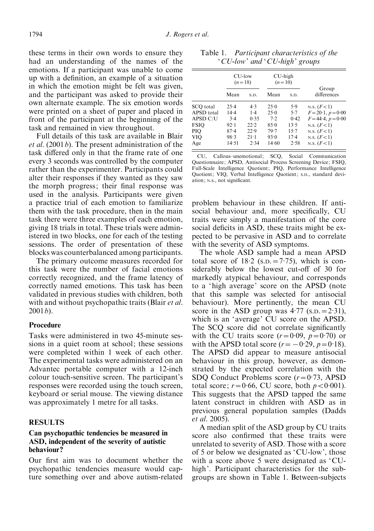these terms in their own words to ensure they had an understanding of the names of the emotions. If a participant was unable to come up with a definition, an example of a situation in which the emotion might be felt was given, and the participant was asked to provide their own alternate example. The six emotion words were printed on a sheet of paper and placed in front of the participant at the beginning of the task and remained in view throughout.

Full details of this task are available in Blair *et al.* (2001*b*). The present administration of the task differed only in that the frame rate of one every 3 seconds was controlled by the computer rather than the experimenter. Participants could alter their responses if they wanted as they saw the morph progress; their final response was used in the analysis. Participants were given a practice trial of each emotion to familiarize them with the task procedure, then in the main task there were three examples of each emotion, giving 18 trials in total. These trials were administered in two blocks, one for each of the testing sessions. The order of presentation of these blocks was counterbalanced among participants.

The primary outcome measures recorded for this task were the number of facial emotions correctly recognized, and the frame latency of correctly named emotions. This task has been validated in previous studies with children, both with and without psychopathic traits (Blair *et al.*)  $2001b$ ).

#### Procedure

Tasks were administered in two 45-minute sessions in a quiet room at school; these sessions were completed within 1 week of each other. The experimental tasks were administered on an Advantec portable computer with a 12-inch colour touch-sensitive screen. The participant's responses were recorded using the touch screen, keyboard or serial mouse. The viewing distance was approximately 1 metre for all tasks.

#### **RESULTS**

## Can psychopathic tendencies be measured in ASD, independent of the severity of autistic behaviour ?

Our first aim was to document whether the psychopathic tendencies measure would capture something over and above autism-related

CU-low  $(n=18)$ CH-high  $(n=10)$ Group Mean s.p. Mean s.p. differences SCQ total 25.4<br>APSD total 14.4  $4.3$  $25.0$ 5.9  $N.S. (F<1)$ APSD total  $14.4$ <br>APSD  $C/I$   $3.4$  $1.4$  $25.0$ <br>7.2  $5.7$ 7  $F=20.1, p=0.00$ APSD C/U 3. 4 0. 35 7.  $0.42$ 42  $F=44.4, p=0.00$ FSIQ 92.1<br>PIO 87.4  $22.2$  $85.0$  $13.5$  $N.S. (F < 1)$ PIQ  $22.9$  $79.7$  $15.7$ N.S.  $(F<1)$  $VI\ddot{O}$  98.3  $21.1$ 93.0  $17.4$ N.S.  $(F<1)$ Age  $14.51$  2.34  $14.60$  $2.58$ N.S.  $(F<1)$ 

Table 1. Participant characteristics of the 'CU-low' and 'CU-high' groups

CU, Callous–unemotional; SCQ, Social Communication Questionnaire; APSD, Antisocial Process Screening Device; FSIQ, Full-Scale Intelligence Quotient; PIQ, Performance Intelligence Quotient; VIQ, Verbal Intelligence Quotient; S.D., standard deviation; N.S., not significant.

problem behaviour in these children. If antisocial behaviour and, more specifically, CU traits were simply a manifestation of the core social deficits in ASD, these traits might be expected to be pervasive in ASD and to correlate with the severity of ASD symptoms.

The whole ASD sample had a mean APSD total score of  $18.2$  (s.p.  $= 7.75$ ), which is considerably below the lowest cut-off of 30 for markedly atypical behaviour, and corresponds to a 'high average' score on the APSD (note that this sample was selected for antisocial behaviour). More pertinently, the mean CU score in the ASD group was  $4.77$  (s.p. =  $2.31$ ), which is an 'average' CU score on the APSD. The SCQ score did not correlate significantly with the CU traits score  $(r=0.09, p=0.70)$  or with the APSD total score  $(r = -0.29, p = 0.18)$ . The APSD did appear to measure antisocial behaviour in this group, however, as demonstrated by the expected correlation with the SDQ Conduct Problems score  $(r=0.73, ABSD)$ total score;  $r = 0.66$ , CU score, both  $p < 0.001$ ). This suggests that the APSD tapped the same latent construct in children with ASD as in previous general population samples (Dadds et al. 2005).

A median split of the ASD group by CU traits score also confirmed that these traits were unrelated to severity of ASD. Those with a score of 5 or below we designated as 'CU-low', those with a score above 5 were designated as 'CUhigh'. Participant characteristics for the subgroups are shown in Table 1. Between-subjects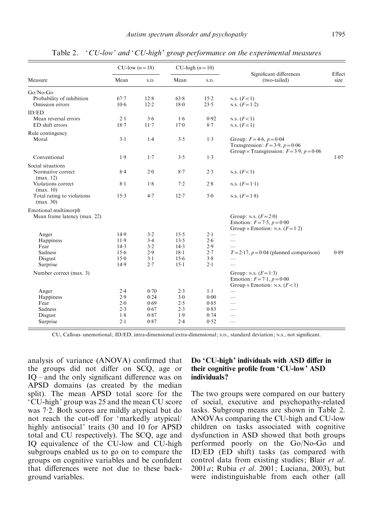| Measure                                      | CU-low $(n=18)$ |              | CU-high $(n=10)$ |                |                                                                        |                |
|----------------------------------------------|-----------------|--------------|------------------|----------------|------------------------------------------------------------------------|----------------|
|                                              | Mean            | S.D.         | Mean             | S.D.           | Significant differences<br>(two-tailed)                                | Effect<br>size |
| Go/No-Go                                     |                 |              |                  |                |                                                                        |                |
| Probability of inhibition<br>Omission errors | 67.7<br>10.6    | 12.8<br>12.2 | 63.8<br>18.0     | $15-2$<br>23.5 | N.S. $(F<1)$<br>N.S. $(F=1.2)$                                         |                |
| ID/ED                                        |                 |              |                  |                |                                                                        |                |
| Mean reversal errors                         | 2.1             | 3.6          | 1.6              | 0.92           | N.S. $(F<1)$                                                           |                |
| ED shift errors                              | 18.7            | $11-7$       | 17.0             | 8.7            | N.S. $(F<1)$                                                           |                |
| Rule contingency<br>Moral                    | $3-1$           | $1-4$        | 3.5              | 1.3            | Group: $F = 4.6$ , $p = 0.04$<br>Transgression: $F = 3.9$ , $p = 0.06$ |                |
| Conventional                                 | 1.9             | 1.7          | 3.5              | 1.3            | Group $\times$ Transgression: $F = 3.9$ , $p = 0.06$                   | 1.07           |
| Social situations                            |                 |              |                  |                |                                                                        |                |
| Normative correct                            | $8-4$           | $2 - 0$      | $8-7$            | 2.3            | N.S. $(F<1)$                                                           |                |
| (max. 12)<br>Violations correct              | $8-1$           | 1.8          | 7.2              | 2.8            | N.S. $(F=1.1)$                                                         |                |
| (max. 10)                                    |                 |              |                  |                |                                                                        |                |
| Total rating to violations<br>(max. 30)      | $15-3$          | 4.7          | $12 - 7$         | $5-0$          | N.S. $(F=1.8)$                                                         |                |
| Emotional multimorph                         |                 |              |                  |                |                                                                        |                |
| Mean frame latency (max. 22)                 |                 |              |                  |                | Group: N.S. $(F=2.0)$                                                  |                |
|                                              |                 |              |                  |                | Emotion: $F = 7.5$ , $p = 0.00$                                        |                |
| Anger                                        | 14.9            | 3.2          | 15.5             | $2 \cdot 1$    | Group $\times$ Emotion: N.S. ( $F=1.2$ )<br>$\overline{\phantom{a}}$   |                |
| Happiness                                    | $11-9$          | 3.4          | 13.5             | 2.6            |                                                                        |                |
| Fear                                         | 14.3            | $3-2$        | 14.3             | 2.9            |                                                                        |                |
| Sadness                                      | 15.6            | 2.9          | 18.1             | 2.7            | $T = 2.17$ , $p = 0.04$ (planned comparison)                           | 0.89           |
| Disgust                                      | 15.0            | $3-1$        | 15.6             | 3.8            |                                                                        |                |
| Surprise                                     | 14.9            | 2.7          | $15-1$           | $2 \cdot 1$    |                                                                        |                |
| Number correct (max. 3)                      |                 |              |                  |                | Group: N.S. $(F=1.3)$<br>Emotion: $F = 7.1, p = 0.00$                  |                |
|                                              |                 |              |                  |                | Group $\times$ Emotion: N.S. ( $F$ <1)                                 |                |
| Anger                                        | 2.4             | 0.70         | 2.3              | $1-1$          | $\overline{\phantom{0}}$                                               |                |
| Happiness                                    | 2.9             | 0.24         | $3-0$            | 0.00           | $\overline{\phantom{0}}$                                               |                |
| Fear                                         | 2.0             | 0.69         | 2.5              | 0.85           | $\overline{\phantom{0}}$                                               |                |
| Sadness                                      | 2.3             | 0.67         | 2.3              | 0.83           | $\overline{\phantom{0}}$                                               |                |
| Disgust                                      | 1.8             | 0.87         | 1.9              | 0.74           | $\frac{1}{1}$                                                          |                |
| Surprise                                     | 2.1             | 0.87         | 2.4              | 0.52           | $\overline{\phantom{0}}$                                               |                |

Table 2. 'CU-low' and 'CU-high' group performance on the experimental measures

CU, Callous–unemotional; ID/ED, intra-dimensional/extra-dimensional; S.D., standard deviation; N.S., not significant.

analysis of variance (ANOVA) confirmed that the groups did not differ on SCQ, age or IQ – and the only significant difference was on APSD domains (as created by the median split). The mean APSD total score for the 'CU-high' group was 25 and the mean CU score was 7.2. Both scores are mildly atypical but do not reach the cut-off for 'markedly atypical/ highly antisocial' traits (30 and 10 for APSD total and CU respectively). The SCQ, age and IQ equivalence of the CU-low and CU-high subgroups enabled us to go on to compare the groups on cognitive variables and be confident that differences were not due to these background variables.

## Do 'CU-high' individuals with ASD differ in their cognitive profile from 'CU-low' ASD individuals ?

The two groups were compared on our battery of social, executive and psychopathy-related tasks. Subgroup means are shown in Table 2. ANOVAs comparing the CU-high and CU-low children on tasks associated with cognitive dysfunction in ASD showed that both groups performed poorly on the Go/No-Go and ID/ED (ED shift) tasks (as compared with control data from existing studies; Blair et al.  $2001a$ ; Rubia et al.  $2001$ ; Luciana,  $2003$ ), but were indistinguishable from each other (all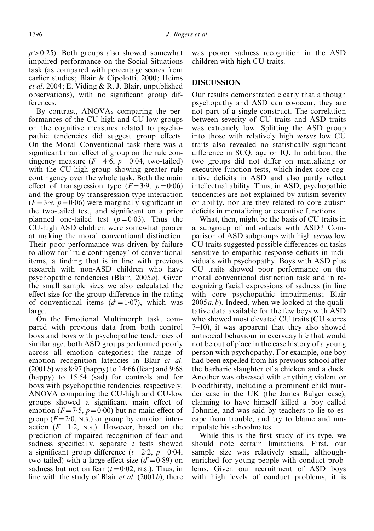$p > 0.25$ ). Both groups also showed somewhat impaired performance on the Social Situations task (as compared with percentage scores from earlier studies; Blair & Cipolotti, 2000; Heims *et al.* 2004; E. Viding  $\&$  R. J. Blair, unpublished observations), with no significant group differences.

By contrast, ANOVAs comparing the performances of the CU-high and CU-low groups on the cognitive measures related to psychopathic tendencies did suggest group effects. On the Moral–Conventional task there was a significant main effect of group on the rule contingency measure  $(F=4.6, p=0.04,$  two-tailed) with the CU-high group showing greater rule contingency over the whole task. Both the main effect of transgression type  $(F=3.9, p=0.06)$ and the group by transgression type interaction  $(F=3.9, p=0.06)$  were marginally significant in the two-tailed test, and significant on a prior planned one-tailed test  $(p=0.03)$ . Thus the CU-high ASD children were somewhat poorer at making the moral–conventional distinction. Their poor performance was driven by failure to allow for 'rule contingency' of conventional items, a finding that is in line with previous research with non-ASD children who have psychopathic tendencies (Blair, 2005a). Given the small sample sizes we also calculated the effect size for the group difference in the rating of conventional items  $(d'=1.07)$ , which was large.

On the Emotional Multimorph task, compared with previous data from both control boys and boys with psychopathic tendencies of similar age, both ASD groups performed poorly across all emotion categories; the range of emotion recognition latencies in Blair et al.  $(2001 b)$  was  $8.97$  (happy) to  $14.66$  (fear) and  $9.68$  $(happy)$  to 15.54  $(sad)$  for controls and for boys with psychopathic tendencies respectively. ANOVA comparing the CU-high and CU-low groups showed a significant main effect of emotion ( $F = 7.5$ ,  $p = 0.00$ ) but no main effect of group  $(F=2.0, N.s.)$  or group by emotion interaction  $(F=1.2, N.S.)$ . However, based on the prediction of impaired recognition of fear and sadness specifically, separate  $t$  tests showed a significant group difference  $(t=2.2, p=0.04,$ two-tailed) with a large effect size  $(d' = 0.89)$  on sadness but not on fear  $(t=0.02, \text{ N.s.})$ . Thus, in line with the study of Blair *et al.* (2001*b*), there

was poorer sadness recognition in the ASD children with high CU traits.

#### DISCUSSION

Our results demonstrated clearly that although psychopathy and ASD can co-occur, they are not part of a single construct. The correlation between severity of CU traits and ASD traits was extremely low. Splitting the ASD group into those with relatively high versus low CU traits also revealed no statistically significant difference in SCQ, age or IQ. In addition, the two groups did not differ on mentalizing or executive function tests, which index core cognitive deficits in ASD and also partly reflect intellectual ability. Thus, in ASD, psychopathic tendencies are not explained by autism severity or ability, nor are they related to core autism deficits in mentalizing or executive functions.

What, then, might be the basis of CU traits in a subgroup of individuals with ASD? Comparison of ASD subgroups with high versus low CU traits suggested possible differences on tasks sensitive to empathic response deficits in individuals with psychopathy. Boys with ASD plus CU traits showed poor performance on the moral–conventional distinction task and in recognizing facial expressions of sadness (in line with core psychopathic impairments; Blair  $2005a, b$ ). Indeed, when we looked at the qualitative data available for the few boys with ASD who showed most elevated CU traits (CU scores 7–10), it was apparent that they also showed antisocial behaviour in everyday life that would not be out of place in the case history of a young person with psychopathy. For example, one boy had been expelled from his previous school after the barbaric slaughter of a chicken and a duck. Another was obsessed with anything violent or bloodthirsty, including a prominent child murder case in the UK (the James Bulger case), claiming to have himself killed a boy called Johnnie, and was said by teachers to lie to escape from trouble, and try to blame and manipulate his schoolmates.

While this is the first study of its type, we should note certain limitations. First, our sample size was relatively small, althoughenriched for young people with conduct problems. Given our recruitment of ASD boys with high levels of conduct problems, it is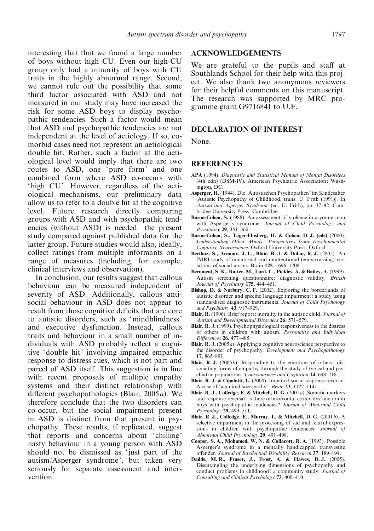interesting that that we found a large number of boys without high CU. Even our high-CU group only had a minority of boys with CU traits in the highly abnormal range. Second, we cannot rule out the possibility that some third factor associated with ASD and not measured in our study may have increased the risk for some ASD boys to display psychopathic tendencies. Such a factor would mean that ASD and psychopathic tendencies are not independent at the level of aetiology. If so, comorbid cases need not represent an aetiological double hit. Rather, such a factor at the aetiological level would imply that there are two routes to ASD, one 'pure form' and one combined form where ASD co-occurs with 'high CU'. However, regardless of the aetiological mechanisms, our preliminary data allow us to refer to a double hit at the cognitive level. Future research directly comparing groups with ASD and with psychopathic tendencies (without ASD) is needed – the present study compared against published data for the latter group. Future studies would also, ideally, collect ratings from multiple informants on a range of measures (including, for example, clinical interviews and observation).

In conclusion, our results suggest that callous behaviour can be measured independent of severity of ASD. Additionally, callous antisocial behaviour in ASD does not appear to result from those cognitive deficits that are core to autistic disorders, such as 'mindblindness' and executive dysfunction. Instead, callous traits and behaviour in a small number of individuals with ASD probably reflect a cognitive 'double hit' involving impaired empathic response to distress cues, which is not part and parcel of ASD itself. This suggestion is in line with recent proposals of multiple empathy systems and their distinct relationship with different psychopathologies (Blair, 2005a). We therefore conclude that the two disorders can co-occur, but the social impairment present in ASD is distinct from that present in psychopathy. These results, if replicated, suggest that reports and concerns about 'chilling' nasty behaviour in a young person with ASD should not be dismissed as 'just part of the autism/Asperger syndrome', but taken very seriously for separate assessment and intervention.

## ACKNOWLEDGEMENTS

We are grateful to the pupils and staff at Southlands School for their help with this project. We also thank two anonymous reviewers for their helpful comments on this manuscript. The research was supported by MRC programme grant G9716841 to U.F.

#### DECLARATION OF INTEREST

None.

#### REFERENCES

- APA (1994). Diagnostic and Statistical Manual of Mental Disorders (4th edn) (DSM-IV). American Psychiatric Association: Washington, DC.
- Asperger, H. (1944). Die 'Autistischen Psychopathen' im Kindesalter [Autistic Psychopathy of Childhood, trans. U. Frith (1991)]. In Autism and Asperger Syndrome (ed. U. Frith), pp. 37–92. Cambridge University Press: Cambridge.
- Baron-Cohen, S. (1988). An assessment of violence in a young man with Asperger's syndrome. Journal of Child Psychology and Psychiatry 29, 351–360.
- Baron-Cohen, S., Tager-Flusberg, H. & Cohen, D. J. (eds) (2000). Understanding Other Minds: Perspectives from Developmental Cognitive Neuroscience. Oxford University Press: Oxford.
- Berthoz, S., Armony, J. L., Blair, R. J. & Dolan, R. J. (2002). An fMRI study of intentional and unintentional (embarrassing) violations of social norms. Brain 125, 1696–1708.
- Berument, S. K., Rutter, M., Lord, C., Pickles, A. & Bailey, A. (1999). Autism screening questionnaire: diagnostic validity. British Journal of Psychiatry 175, 444–451.
- Bishop, D. & Norbury, C. F. (2002). Exploring the borderlands of autistic disorder and specific language impairment: a study using standardised diagnostic instruments. Journal of Child Psychology and Psychiatry 43, 917–929.
- Blair, R. (1996). Brief report: morality in the autistic child. Journal of Autism and Developmental Disorders 26, 571–579.
- Blair, R. J. (1999). Psychophysiological responsiveness to the distress of others in children with autism. Personality and Individual Differences 26, 477–485.
- **Blair, R. J.** (2005*a*). Applying a cognitive neuroscience perspective to the disorder of psychopathy. Development and Psychopathology 17, 865–891.
- **Blair, R. J.** (2005 $b$ ). Responding to the emotions of others: dissociating forms of empathy through the study of typical and psychiatric populations. Consciousness and Cognition 14, 698–718.
- Blair, R. J. & Cipolotti, L. (2000). Impaired social response reversal. A case of ' acquired sociopathy'. Brain 23, 1122–1141.
- Blair, R. J., Colledge, E. & Mitchell, D. G. (2001a). Somatic markers and response reversal: is there orbitofrontal cortex dysfunction in boys with psychopathic tendencies? Journal of Abnormal Child Psychology 29, 499–511.
- Blair, R. J., Colledge, E., Murray, L. & Mitchell, D. G. (2001b). A selective impairment in the processing of sad and fearful expressions in children with psychopathic tendencies. Journal of Abnormal Child Psychology 29, 491–498.
- Cooper, S. A., Mohamed, W. N. & Collacott, R. A. (1993). Possible Asperger's syndrome in a mentally handicapped transvestite offender. Journal of Intellectual Disability Research 37, 189–194.
- Dadds, M. R., Fraser, J., Frost, A. & Hawes, D. J. (2005). Disentangling the underlying dimensions of psychopathy and conduct problems in childhood: a community study. Journal of Consulting and Clinical Psychology 73, 400–410.